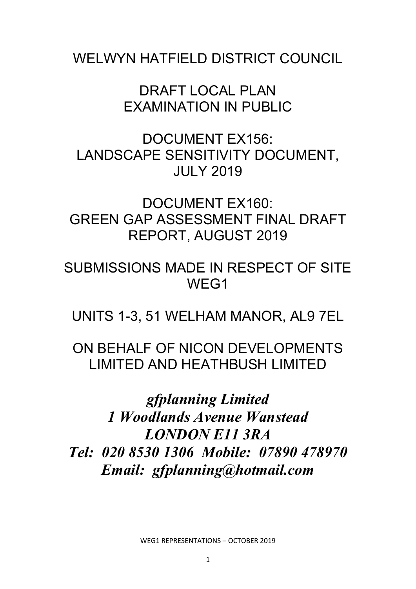WELWYN HATFIFLD DISTRICT COUNCIL

DRAFT LOCAL PLAN EXAMINATION IN PUBLIC

DOCUMENT EX156: LANDSCAPE SENSITIVITY DOCUMENT, JULY 2019

DOCUMENT EX160: GREEN GAP ASSESSMENT FINAL DRAFT REPORT, AUGUST 2019

SUBMISSIONS MADE IN RESPECT OF SITE WEG1

UNITS 1-3, 51 WELHAM MANOR, AL9 7EL

ON BEHALF OF NICON DEVELOPMENTS LIMITED AND HEATHBUSH LIMITED

*gfplanning Limited 1 Woodlands Avenue Wanstead LONDON E11 3RA Tel: 020 8530 1306 Mobile: 07890 478970 Email: gfplanning@hotmail.com*

WEG1 REPRESENTATIONS – OCTOBER 2019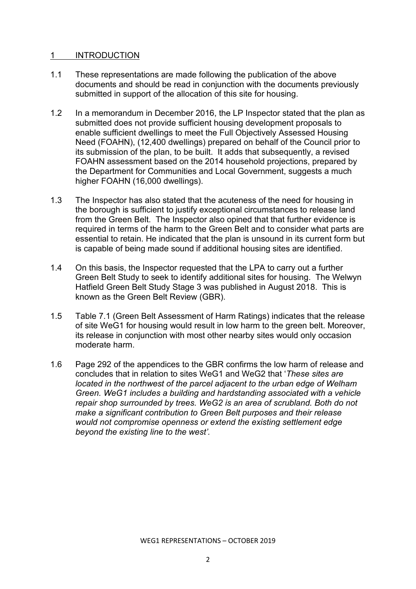## 1 INTRODUCTION

- 1.1 These representations are made following the publication of the above documents and should be read in conjunction with the documents previously submitted in support of the allocation of this site for housing.
- 1.2 In a memorandum in December 2016, the LP Inspector stated that the plan as submitted does not provide sufficient housing development proposals to enable sufficient dwellings to meet the Full Objectively Assessed Housing Need (FOAHN), (12,400 dwellings) prepared on behalf of the Council prior to its submission of the plan, to be built. It adds that subsequently, a revised FOAHN assessment based on the 2014 household projections, prepared by the Department for Communities and Local Government, suggests a much higher FOAHN (16,000 dwellings).
- 1.3 The Inspector has also stated that the acuteness of the need for housing in the borough is sufficient to justify exceptional circumstances to release land from the Green Belt. The Inspector also opined that that further evidence is required in terms of the harm to the Green Belt and to consider what parts are essential to retain. He indicated that the plan is unsound in its current form but is capable of being made sound if additional housing sites are identified.
- 1.4 On this basis, the Inspector requested that the LPA to carry out a further Green Belt Study to seek to identify additional sites for housing. The Welwyn Hatfield Green Belt Study Stage 3 was published in August 2018. This is known as the Green Belt Review (GBR).
- 1.5 Table 7.1 (Green Belt Assessment of Harm Ratings) indicates that the release of site WeG1 for housing would result in low harm to the green belt. Moreover, its release in conjunction with most other nearby sites would only occasion moderate harm.
- 1.6 Page 292 of the appendices to the GBR confirms the low harm of release and concludes that in relation to sites WeG1 and WeG2 that '*These sites are located in the northwest of the parcel adjacent to the urban edge of Welham Green. WeG1 includes a building and hardstanding associated with a vehicle repair shop surrounded by trees. WeG2 is an area of scrubland. Both do not make a significant contribution to Green Belt purposes and their release would not compromise openness or extend the existing settlement edge beyond the existing line to the west'.*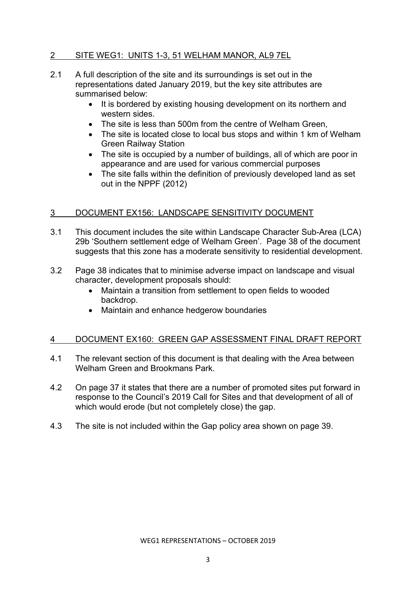# 2 SITE WEG1: UNITS 1-3, 51 WELHAM MANOR, AL9 7EL

- 2.1 A full description of the site and its surroundings is set out in the representations dated January 2019, but the key site attributes are summarised below:
	- It is bordered by existing housing development on its northern and western sides.
	- The site is less than 500m from the centre of Welham Green.
	- The site is located close to local bus stops and within 1 km of Welham Green Railway Station
	- The site is occupied by a number of buildings, all of which are poor in appearance and are used for various commercial purposes
	- The site falls within the definition of previously developed land as set out in the NPPF (2012)

## 3 DOCUMENT EX156: LANDSCAPE SENSITIVITY DOCUMENT

- 3.1 This document includes the site within Landscape Character Sub-Area (LCA) 29b 'Southern settlement edge of Welham Green'. Page 38 of the document suggests that this zone has a moderate sensitivity to residential development.
- 3.2 Page 38 indicates that to minimise adverse impact on landscape and visual character, development proposals should:
	- Maintain a transition from settlement to open fields to wooded backdrop.
	- Maintain and enhance hedgerow boundaries

## 4 DOCUMENT EX160: GREEN GAP ASSESSMENT FINAL DRAFT REPORT

- 4.1 The relevant section of this document is that dealing with the Area between Welham Green and Brookmans Park.
- 4.2 On page 37 it states that there are a number of promoted sites put forward in response to the Council's 2019 Call for Sites and that development of all of which would erode (but not completely close) the gap.
- 4.3 The site is not included within the Gap policy area shown on page 39.